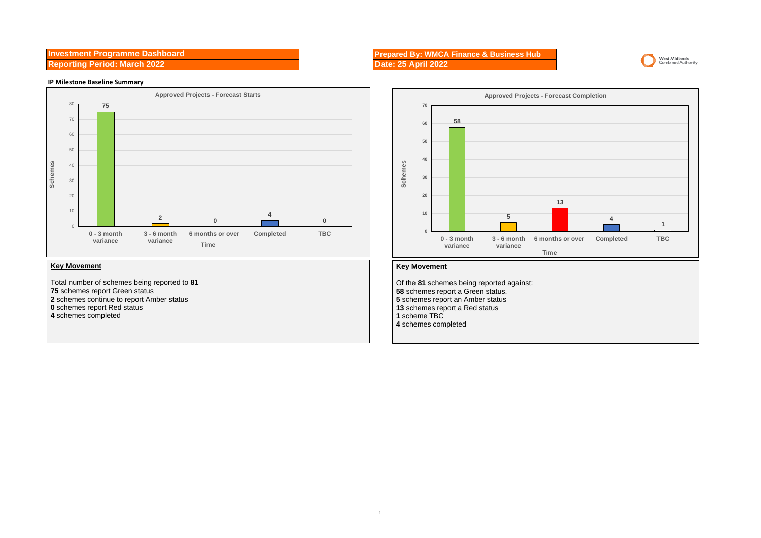**Investment Programme Dashboard Reporting Period: March 2022** 

## **IP Milestone Baseline Summary**



## **Key Movement**

Total number of schemes being reported to **81** schemes report Green status schemes continue to report Amber status schemes report Red status schemes completed

## **Prepared By: WMCA Finance & Business Hub**





## **Key Movement**

Of the **81** schemes being reported against: schemes report a Green status. schemes report an Amber status schemes report a Red status scheme TBC schemes completed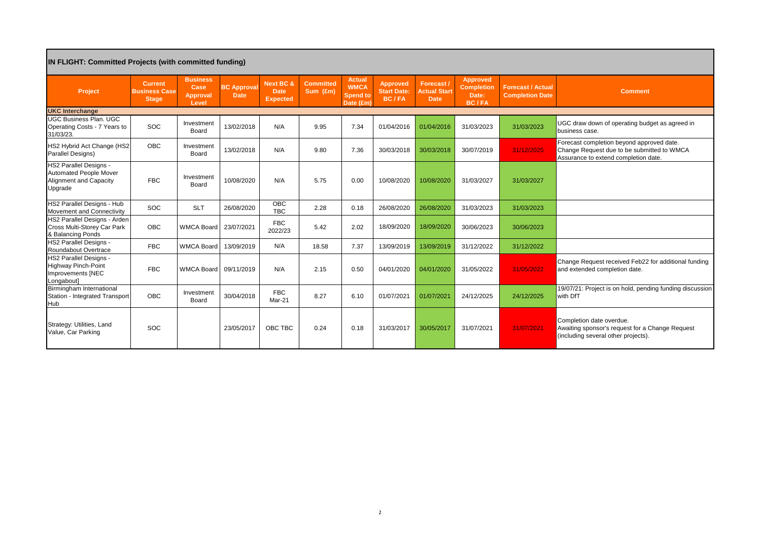| <b>IN FLIGHT: Committed Projects (with committed funding)</b>                                       |                                                        |                                                     |                                   |                                      |                              |                                                              |                                                |                                                 |                                                        |                                                    |                                                                                                                                 |
|-----------------------------------------------------------------------------------------------------|--------------------------------------------------------|-----------------------------------------------------|-----------------------------------|--------------------------------------|------------------------------|--------------------------------------------------------------|------------------------------------------------|-------------------------------------------------|--------------------------------------------------------|----------------------------------------------------|---------------------------------------------------------------------------------------------------------------------------------|
| Project                                                                                             | <b>Current</b><br><b>Business Case</b><br><b>Stage</b> | <b>Business</b><br>Case<br><b>Approval</b><br>Level | <b>BC Approval</b><br><b>Date</b> | Next BC &<br>Date<br><b>Expected</b> | <b>Committed</b><br>Sum (£m) | <b>Actual</b><br><b>WMCA</b><br><b>Spend to</b><br>Date (£m) | Approved<br><b>Start Date:</b><br><b>BC/FA</b> | Forecast/<br><b>Actual Start</b><br><b>Date</b> | Approved<br><b>Completion</b><br>Date:<br><b>BC/FA</b> | <b>Forecast / Actual</b><br><b>Completion Date</b> | <b>Comment</b>                                                                                                                  |
| <b>UKC Interchange</b>                                                                              |                                                        |                                                     |                                   |                                      |                              |                                                              |                                                |                                                 |                                                        |                                                    |                                                                                                                                 |
| <b>UGC Business Plan, UGC</b><br>Operating Costs - 7 Years to<br>31/03/23.                          | SOC                                                    | Investment<br>Board                                 | 13/02/2018                        | N/A                                  | 9.95                         | 7.34                                                         | 01/04/2016                                     | 01/04/2016                                      | 31/03/2023                                             | 31/03/2023                                         | UGC draw down of operating budget as agreed in<br>business case.                                                                |
| HS2 Hybrid Act Change (HS2<br>Parallel Designs)                                                     | OBC                                                    | Investment<br>Board                                 | 13/02/2018                        | N/A                                  | 9.80                         | 7.36                                                         | 30/03/2018                                     | 30/03/2018                                      | 30/07/2019                                             | 31/12/2025                                         | Forecast completion beyond approved date.<br>Change Request due to be submitted to WMCA<br>Assurance to extend completion date. |
| <b>HS2 Parallel Designs -</b><br><b>Automated People Mover</b><br>Alignment and Capacity<br>Upgrade | <b>FBC</b>                                             | Investment<br>Board                                 | 10/08/2020                        | N/A                                  | 5.75                         | 0.00                                                         | 10/08/2020                                     | 10/08/2020                                      | 31/03/2027                                             | 31/03/2027                                         |                                                                                                                                 |
| HS2 Parallel Designs - Hub<br>Movement and Connectivity                                             | SOC                                                    | <b>SLT</b>                                          | 26/08/2020                        | OBC<br><b>TBC</b>                    | 2.28                         | 0.18                                                         | 26/08/2020                                     | 26/08/2020                                      | 31/03/2023                                             | 31/03/2023                                         |                                                                                                                                 |
| HS2 Parallel Designs - Arden<br>Cross Multi-Storey Car Park<br>& Balancing Ponds                    | OBC                                                    | <b>WMCA Board</b>                                   | 23/07/2021                        | <b>FBC</b><br>2022/23                | 5.42                         | 2.02                                                         | 18/09/2020                                     | 18/09/2020                                      | 30/06/2023                                             | 30/06/2023                                         |                                                                                                                                 |
| <b>HS2 Parallel Designs -</b><br>Roundabout Overtrace                                               | <b>FBC</b>                                             | <b>WMCA Board</b>                                   | 13/09/2019                        | N/A                                  | 18.58                        | 7.37                                                         | 13/09/2019                                     | 13/09/2019                                      | 31/12/2022                                             | 31/12/2022                                         |                                                                                                                                 |
| <b>HS2 Parallel Designs -</b><br><b>Highway Pinch-Point</b><br>Improvements [NEC<br>Longabout]      | <b>FBC</b>                                             | WMCA Board 09/11/2019                               |                                   | N/A                                  | 2.15                         | 0.50                                                         | 04/01/2020                                     | 04/01/2020                                      | 31/05/2022                                             | 31/05/2022                                         | Change Request received Feb22 for additional funding<br>and extended completion date.                                           |
| Birmingham International<br>Station - Integrated Transport<br>Hub                                   | OBC                                                    | Investment<br>Board                                 | 30/04/2018                        | <b>FBC</b><br>Mar-21                 | 8.27                         | 6.10                                                         | 01/07/2021                                     | 01/07/2021                                      | 24/12/2025                                             | 24/12/2025                                         | 19/07/21: Project is on hold, pending funding discussion<br>with DfT                                                            |
| Strategy: Utilities, Land<br>Value, Car Parking                                                     | SOC                                                    |                                                     | 23/05/2017                        | OBC TBC                              | 0.24                         | 0.18                                                         | 31/03/2017                                     | 30/05/2017                                      | 31/07/2021                                             | 31/07/2021                                         | Completion date overdue.<br>Awaiting sponsor's request for a Change Request<br>(including several other projects).              |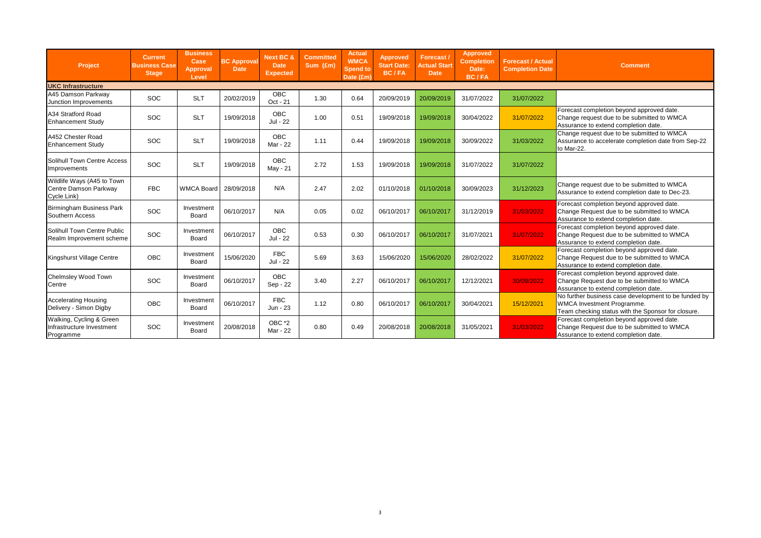| Project                                                            | <b>Current</b><br><b>Business Case</b><br><b>Stage</b> | <b>Business</b><br>Case<br>Approval<br>Level | <b>BC Approval</b><br><b>Date</b> | Next BC &<br>Date<br><b>Expected</b> | <b>Committed</b><br>Sum (£m) | Actual<br><b>WMCA</b><br><b>Spend to</b><br>Date (£m) | Approved<br><b>Start Date:</b><br><b>BC/FA</b> | Forecast/<br><b>Actual Start</b><br>Date | Approved<br><b>Completion</b><br>Date:<br><b>BC/FA</b> | <b>Forecast / Actual</b><br><b>Completion Date</b> | <b>Comment</b>                                                                                                                                  |
|--------------------------------------------------------------------|--------------------------------------------------------|----------------------------------------------|-----------------------------------|--------------------------------------|------------------------------|-------------------------------------------------------|------------------------------------------------|------------------------------------------|--------------------------------------------------------|----------------------------------------------------|-------------------------------------------------------------------------------------------------------------------------------------------------|
| <b>UKC Infrastructure</b>                                          |                                                        |                                              |                                   |                                      |                              |                                                       |                                                |                                          |                                                        |                                                    |                                                                                                                                                 |
| A45 Damson Parkway<br>Junction Improvements                        | <b>SOC</b>                                             | <b>SLT</b>                                   | 20/02/2019                        | <b>OBC</b><br>Oct - 21               | 1.30                         | 0.64                                                  | 20/09/2019                                     | 20/09/2019                               | 31/07/2022                                             | 31/07/2022                                         |                                                                                                                                                 |
| A34 Stratford Road<br><b>Enhancement Study</b>                     | SOC                                                    | <b>SLT</b>                                   | 19/09/2018                        | <b>OBC</b><br>Jul - 22               | 1.00                         | 0.51                                                  | 19/09/2018                                     | 19/09/2018                               | 30/04/2022                                             | 31/07/2022                                         | Forecast completion beyond approved date.<br>Change request due to be submitted to WMCA<br>Assurance to extend completion date.                 |
| A452 Chester Road<br><b>Enhancement Study</b>                      | <b>SOC</b>                                             | <b>SLT</b>                                   | 19/09/2018                        | OBC<br>Mar - 22                      | 1.11                         | 0.44                                                  | 19/09/2018                                     | 19/09/2018                               | 30/09/2022                                             | 31/03/2022                                         | Change request due to be submitted to WMCA<br>Assurance to accelerate completion date from Sep-22<br>to Mar-22.                                 |
| Solihull Town Centre Access<br>Improvements                        | <b>SOC</b>                                             | <b>SLT</b>                                   | 19/09/2018                        | <b>OBC</b><br>May - 21               | 2.72                         | 1.53                                                  | 19/09/2018                                     | 19/09/2018                               | 31/07/2022                                             | 31/07/2022                                         |                                                                                                                                                 |
| Wildlife Ways (A45 to Town<br>Centre Damson Parkway<br>Cycle Link) | <b>FBC</b>                                             | <b>WMCA Board</b>                            | 28/09/2018                        | N/A                                  | 2.47                         | 2.02                                                  | 01/10/2018                                     | 01/10/2018                               | 30/09/2023                                             | 31/12/2023                                         | Change request due to be submitted to WMCA<br>Assurance to extend completion date to Dec-23.                                                    |
| Birmingham Business Park<br>Southern Access                        | <b>SOC</b>                                             | Investment<br>Board                          | 06/10/2017                        | N/A                                  | 0.05                         | 0.02                                                  | 06/10/2017                                     | 06/10/2017                               | 31/12/2019                                             | 31/03/2022                                         | Forecast completion beyond approved date.<br>Change Request due to be submitted to WMCA<br>Assurance to extend completion date.                 |
| Solihull Town Centre Public<br>Realm Improvement scheme            | <b>SOC</b>                                             | Investment<br>Board                          | 06/10/2017                        | <b>OBC</b><br>Jul - 22               | 0.53                         | 0.30                                                  | 06/10/2017                                     | 06/10/2017                               | 31/07/2021                                             | 31/07/2022                                         | Forecast completion beyond approved date.<br>Change Request due to be submitted to WMCA<br>Assurance to extend completion date.                 |
| Kingshurst Village Centre                                          | OBC                                                    | Investment<br>Board                          | 15/06/2020                        | <b>FBC</b><br>Jul - 22               | 5.69                         | 3.63                                                  | 15/06/2020                                     | 15/06/2020                               | 28/02/2022                                             | 31/07/2022                                         | Forecast completion beyond approved date.<br>Change Request due to be submitted to WMCA<br>Assurance to extend completion date.                 |
| Chelmsley Wood Town<br>Centre                                      | <b>SOC</b>                                             | Investment<br>Board                          | 06/10/2017                        | <b>OBC</b><br>Sep - 22               | 3.40                         | 2.27                                                  | 06/10/2017                                     | 06/10/2017                               | 12/12/2021                                             | 30/09/2022                                         | Forecast completion beyond approved date.<br>Change Request due to be submitted to WMCA<br>Assurance to extend completion date.                 |
| <b>Accelerating Housing</b><br>Delivery - Simon Digby              | <b>OBC</b>                                             | Investment<br>Board                          | 06/10/2017                        | <b>FBC</b><br>Jun - 23               | 1.12                         | 0.80                                                  | 06/10/2017                                     | 06/10/2017                               | 30/04/2021                                             | 15/12/2021                                         | No further business case development to be funded by<br><b>WMCA Investment Programme.</b><br>Team checking status with the Sponsor for closure. |
| Walking, Cycling & Green<br>Infrastructure Investment<br>Programme | <b>SOC</b>                                             | Investment<br>Board                          | 20/08/2018                        | OBC *2<br>Mar - 22                   | 0.80                         | 0.49                                                  | 20/08/2018                                     | 20/08/2018                               | 31/05/2021                                             | 31/03/2022                                         | Forecast completion beyond approved date.<br>Change Request due to be submitted to WMCA<br>Assurance to extend completion date.                 |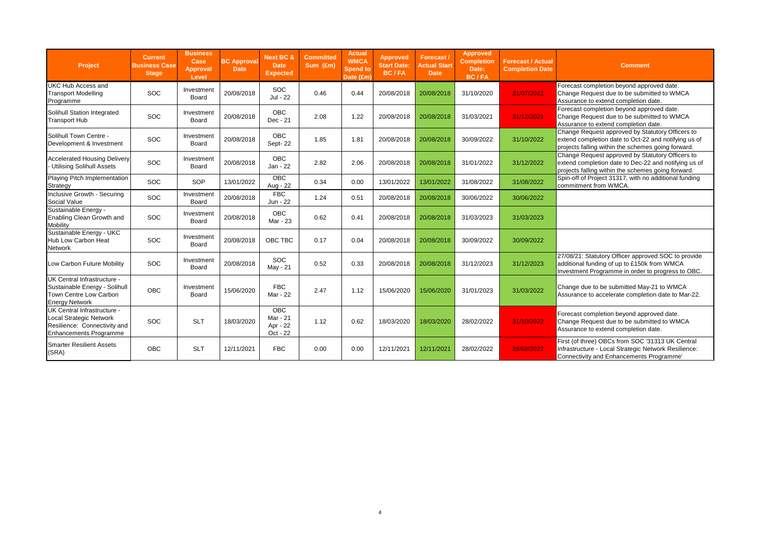| Project                                                                                                                 | <b>Current</b><br><b>Business Case</b><br><b>Stage</b> | <b>Business</b><br>Case<br>Approval<br>Level | <b>BC Approval</b><br><b>Date</b> | <b>Next BC &amp;</b><br><b>Date</b><br><b>Expected</b> | <b>Committed</b><br>Sum (£m) | <b>Actual</b><br><b>WMCA</b><br><b>Spend to</b><br>Date (£m) | Approved<br><b>Start Date:</b><br>BC/FA | Forecast/<br><b>Actual Start</b><br><b>Date</b> | Approved<br><b>Completion</b><br>Date:<br><b>BC/FA</b> | <b>Forecast / Actual</b><br><b>Completion Date</b> | <b>Comment</b>                                                                                                                                                 |
|-------------------------------------------------------------------------------------------------------------------------|--------------------------------------------------------|----------------------------------------------|-----------------------------------|--------------------------------------------------------|------------------------------|--------------------------------------------------------------|-----------------------------------------|-------------------------------------------------|--------------------------------------------------------|----------------------------------------------------|----------------------------------------------------------------------------------------------------------------------------------------------------------------|
| UKC Hub Access and<br><b>Transport Modelling</b><br>Programme                                                           | SOC                                                    | Investment<br>Board                          | 20/08/2018                        | <b>SOC</b><br>Jul - 22                                 | 0.46                         | 0.44                                                         | 20/08/2018                              | 20/08/2018                                      | 31/10/2020                                             | 31/07/2022                                         | Forecast completion beyond approved date.<br>Change Request due to be submitted to WMCA<br>Assurance to extend completion date.                                |
| Solihull Station Integrated<br><b>Transport Hub</b>                                                                     | <b>SOC</b>                                             | Investment<br>Board                          | 20/08/2018                        | <b>OBC</b><br>Dec - 21                                 | 2.08                         | 1.22                                                         | 20/08/2018                              | 20/08/2018                                      | 31/03/2021                                             | 31/12/2021                                         | Forecast completion beyond approved date.<br>Change Request due to be submitted to WMCA<br>Assurance to extend completion date.                                |
| Solihull Town Centre -<br>Development & Investment                                                                      | <b>SOC</b>                                             | Investment<br>Board                          | 20/08/2018                        | OBC<br>Sept-22                                         | 1.85                         | 1.81                                                         | 20/08/2018                              | 20/08/2018                                      | 30/09/2022                                             | 31/10/2022                                         | Change Request approved by Statutory Officers to<br>extend completion date to Oct-22 and notifying us of<br>projects falling within the schemes going forward. |
| <b>Accelerated Housing Delivery</b><br><b>Utilising Solihull Assets</b>                                                 | <b>SOC</b>                                             | Investment<br>Board                          | 20/08/2018                        | <b>OBC</b><br>Jan - 22                                 | 2.82                         | 2.06                                                         | 20/08/2018                              | 20/08/2018                                      | 31/01/2022                                             | 31/12/2022                                         | Change Request approved by Statutory Officers to<br>extend completion date to Dec-22 and notifying us of<br>projects falling within the schemes going forward. |
| Playing Pitch Implementation<br>Strategy                                                                                | <b>SOC</b>                                             | SOP                                          | 13/01/2022                        | <b>OBC</b><br>Aug - 22                                 | 0.34                         | 0.00                                                         | 13/01/2022                              | 13/01/2022                                      | 31/08/2022                                             | 31/08/2022                                         | Spin-off of Project 31317, with no additional funding<br>commitment from WMCA.                                                                                 |
| Inclusive Growth - Securing<br>Social Value                                                                             | <b>SOC</b>                                             | Investment<br>Board                          | 20/08/2018                        | <b>FBC</b><br>Jun - 22                                 | 1.24                         | 0.51                                                         | 20/08/2018                              | 20/08/2018                                      | 30/06/2022                                             | 30/06/2022                                         |                                                                                                                                                                |
| Sustainable Energy -<br>Enabling Clean Growth and<br>Mobility                                                           | <b>SOC</b>                                             | Investment<br>Board                          | 20/08/2018                        | <b>OBC</b><br>Mar - 23                                 | 0.62                         | 0.41                                                         | 20/08/2018                              | 20/08/2018                                      | 31/03/2023                                             | 31/03/2023                                         |                                                                                                                                                                |
| Sustainable Energy - UKC<br>Hub Low Carbon Heat<br>Network                                                              | <b>SOC</b>                                             | Investment<br>Board                          | 20/08/2018                        | OBC TBC                                                | 0.17                         | 0.04                                                         | 20/08/2018                              | 20/08/2018                                      | 30/09/2022                                             | 30/09/2022                                         |                                                                                                                                                                |
| Low Carbon Future Mobility                                                                                              | <b>SOC</b>                                             | Investment<br>Board                          | 20/08/2018                        | <b>SOC</b><br>May - 21                                 | 0.52                         | 0.33                                                         | 20/08/2018                              | 20/08/2018                                      | 31/12/2023                                             | 31/12/2023                                         | 27/08/21: Statutory Officer approved SOC to provide<br>additional funding of up to £150k from WMCA<br>Investment Programme in order to progress to OBC.        |
| UK Central Infrastructure -<br>Sustainable Energy - Solihull<br>Town Centre Low Carbon<br><b>Energy Network</b>         | <b>OBC</b>                                             | Investment<br>Board                          | 15/06/2020                        | <b>FBC</b><br>Mar - 22                                 | 2.47                         | 1.12                                                         | 15/06/2020                              | 15/06/2020                                      | 31/01/2023                                             | 31/03/2022                                         | Change due to be submitted May-21 to WMCA<br>Assurance to accelerate completion date to Mar-22.                                                                |
| UK Central Infrastructure -<br>Local Strategic Network<br>Resilience: Connectivity and<br><b>Enhancements Programme</b> | <b>SOC</b>                                             | <b>SLT</b>                                   | 18/03/2020                        | <b>OBC</b><br>Mar - 21<br>Apr - 22<br>Oct - 22         | 1.12                         | 0.62                                                         | 18/03/2020                              | 18/03/2020                                      | 28/02/2022                                             | 31/10/2022                                         | Forecast completion beyond approved date.<br>Change Request due to be submitted to WMCA<br>Assurance to extend completion date.                                |
| <b>Smarter Resilient Assets</b><br>(SRA)                                                                                | <b>OBC</b>                                             | <b>SLT</b>                                   | 12/11/2021                        | <b>FBC</b>                                             | 0.00                         | 0.00                                                         | 12/11/2021                              | 12/11/2021                                      | 28/02/2022                                             | 28/02/2022                                         | First (of three) OBCs from SOC '31313 UK Central<br>Infrastructure - Local Strategic Network Resilience:<br>Connectivity and Enhancements Programme'           |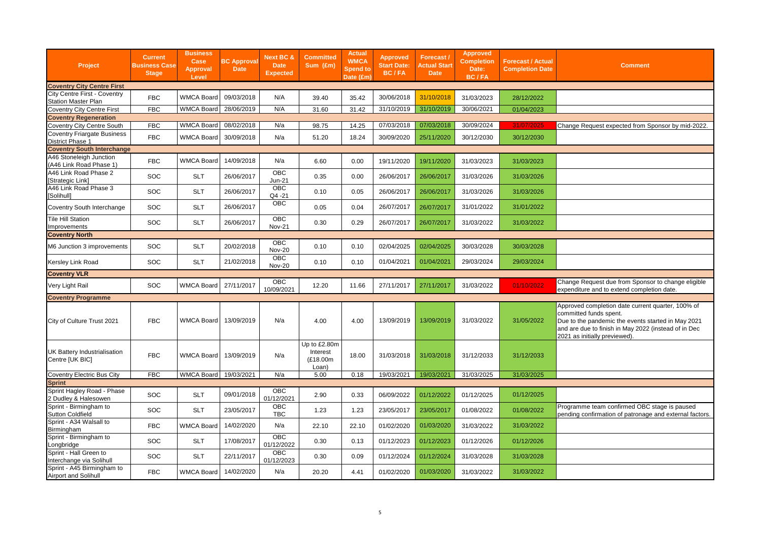| Project                                                    | <b>Current</b><br><b>Business Case</b><br><b>Stage</b> | <b>Business</b><br>Case<br><b>Approval</b><br>Level | <b>BC Approval</b><br><b>Date</b> | <b>Next BC &amp;</b><br><b>Date</b><br><b>Expected</b> | Committed<br>Sum (£m)                         | <b>Actual</b><br><b>WMCA</b><br><b>Spend to</b><br>Date (£mˈ | <b>Approved</b><br><b>Start Date:</b><br>BC/FA | Forecast/<br><b>Actual Start</b><br><b>Date</b> | <b>Approved</b><br><b>Completion</b><br>Date:<br><b>BC/FA</b> | <b>Forecast / Actual</b><br><b>Completion Date</b> | <b>Comment</b>                                                                                                                                                                                                             |
|------------------------------------------------------------|--------------------------------------------------------|-----------------------------------------------------|-----------------------------------|--------------------------------------------------------|-----------------------------------------------|--------------------------------------------------------------|------------------------------------------------|-------------------------------------------------|---------------------------------------------------------------|----------------------------------------------------|----------------------------------------------------------------------------------------------------------------------------------------------------------------------------------------------------------------------------|
| <b>Coventry City Centre First</b>                          |                                                        |                                                     |                                   |                                                        |                                               |                                                              |                                                |                                                 |                                                               |                                                    |                                                                                                                                                                                                                            |
| City Centre First - Coventry<br><b>Station Master Plan</b> | <b>FBC</b>                                             | <b>WMCA Board</b>                                   | 09/03/2018                        | N/A                                                    | 39.40                                         | 35.42                                                        | 30/06/2018                                     | 31/10/2018                                      | 31/03/2023                                                    | 28/12/2022                                         |                                                                                                                                                                                                                            |
| <b>Coventry City Centre First</b>                          | <b>FBC</b>                                             | WMCA Board 28/06/2019                               |                                   | N/A                                                    | 31.60                                         | 31.42                                                        | 31/10/2019                                     | 31/10/2019                                      | 30/06/2021                                                    | 01/04/2023                                         |                                                                                                                                                                                                                            |
| <b>Coventry Regeneration</b>                               |                                                        |                                                     |                                   |                                                        |                                               |                                                              |                                                |                                                 |                                                               |                                                    |                                                                                                                                                                                                                            |
| Coventry City Centre South                                 | <b>FBC</b>                                             | <b>WMCA Board</b>                                   | 08/02/2018                        | N/a                                                    | 98.75                                         | 14.25                                                        | 07/03/2018                                     | 07/03/2018                                      | 30/09/2024                                                    | 31/07/2025                                         | Change Request expected from Sponsor by mid-2022.                                                                                                                                                                          |
| Coventry Friargate Business<br><b>District Phase 1</b>     | <b>FBC</b>                                             | <b>WMCA Board</b>                                   | 30/09/2018                        | N/a                                                    | 51.20                                         | 18.24                                                        | 30/09/2020                                     | 25/11/2020                                      | 30/12/2030                                                    | 30/12/2030                                         |                                                                                                                                                                                                                            |
| <b>Coventry South Interchange</b>                          |                                                        |                                                     |                                   |                                                        |                                               |                                                              |                                                |                                                 |                                                               |                                                    |                                                                                                                                                                                                                            |
| A46 Stoneleigh Junction<br>(A46 Link Road Phase 1)         | <b>FBC</b>                                             | <b>WMCA Board</b>                                   | 14/09/2018                        | N/a                                                    | 6.60                                          | 0.00                                                         | 19/11/2020                                     | 19/11/2020                                      | 31/03/2023                                                    | 31/03/2023                                         |                                                                                                                                                                                                                            |
| A46 Link Road Phase 2<br>Strategic Link]                   | SOC                                                    | <b>SLT</b>                                          | 26/06/2017                        | OBC<br><b>Jun-21</b>                                   | 0.35                                          | 0.00                                                         | 26/06/2017                                     | 26/06/2017                                      | 31/03/2026                                                    | 31/03/2026                                         |                                                                                                                                                                                                                            |
| A46 Link Road Phase 3<br>[Solihull]                        | SOC                                                    | <b>SLT</b>                                          | 26/06/2017                        | OBC<br>Q4 -21                                          | 0.10                                          | 0.05                                                         | 26/06/2017                                     | 26/06/2017                                      | 31/03/2026                                                    | 31/03/2026                                         |                                                                                                                                                                                                                            |
| Coventry South Interchange                                 | SOC                                                    | <b>SLT</b>                                          | 26/06/2017                        | OBC                                                    | 0.05                                          | 0.04                                                         | 26/07/2017                                     | 26/07/2017                                      | 31/01/2022                                                    | 31/01/2022                                         |                                                                                                                                                                                                                            |
| <b>Tile Hill Station</b><br>Improvements                   | SOC                                                    | <b>SLT</b>                                          | 26/06/2017                        | OBC<br><b>Nov-21</b>                                   | 0.30                                          | 0.29                                                         | 26/07/2017                                     | 26/07/2017                                      | 31/03/2022                                                    | 31/03/2022                                         |                                                                                                                                                                                                                            |
| <b>Coventry North</b>                                      |                                                        |                                                     |                                   |                                                        |                                               |                                                              |                                                |                                                 |                                                               |                                                    |                                                                                                                                                                                                                            |
| M6 Junction 3 improvements                                 | SOC                                                    | <b>SLT</b>                                          | 20/02/2018                        | OBC<br><b>Nov-20</b>                                   | 0.10                                          | 0.10                                                         | 02/04/2025                                     | 02/04/2025                                      | 30/03/2028                                                    | 30/03/2028                                         |                                                                                                                                                                                                                            |
| Kersley Link Road                                          | SOC                                                    | <b>SLT</b>                                          | 21/02/2018                        | OBC<br><b>Nov-20</b>                                   | 0.10                                          | 0.10                                                         | 01/04/2021                                     | 01/04/2021                                      | 29/03/2024                                                    | 29/03/2024                                         |                                                                                                                                                                                                                            |
| <b>Coventry VLR</b>                                        |                                                        |                                                     |                                   |                                                        |                                               |                                                              |                                                |                                                 |                                                               |                                                    |                                                                                                                                                                                                                            |
| Very Light Rail                                            | SOC                                                    | <b>WMCA Board</b>                                   | 27/11/2017                        | OBC<br>10/09/2021                                      | 12.20                                         | 11.66                                                        | 27/11/2017                                     | 27/11/2017                                      | 31/03/2022                                                    | 01/10/2022                                         | Change Request due from Sponsor to change eligible<br>expenditure and to extend completion date.                                                                                                                           |
| <b>Coventry Programme</b>                                  |                                                        |                                                     |                                   |                                                        |                                               |                                                              |                                                |                                                 |                                                               |                                                    |                                                                                                                                                                                                                            |
| City of Culture Trust 2021                                 | <b>FBC</b>                                             | WMCA Board                                          | 13/09/2019                        | N/a                                                    | 4.00                                          | 4.00                                                         | 13/09/2019                                     | 13/09/2019                                      | 31/03/2022                                                    | 31/05/2022                                         | Approved completion date current quarter, 100% of<br>committed funds spent.<br>Due to the pandemic the events started in May 2021<br>and are due to finish in May 2022 (instead of in Dec<br>2021 as initially previewed). |
| <b>UK Battery Industrialisation</b><br>Centre [UK BIC]     | <b>FBC</b>                                             | <b>WMCA Board</b>                                   | 13/09/2019                        | N/a                                                    | Up to £2.80m<br>Interest<br>(£18.00m<br>Loan) | 18.00                                                        | 31/03/2018                                     | 31/03/2018                                      | 31/12/2033                                                    | 31/12/2033                                         |                                                                                                                                                                                                                            |
| Coventry Electric Bus City                                 | <b>FBC</b>                                             | WMCA Board 19/03/2021                               |                                   | N/a                                                    | 5.00                                          | 0.18                                                         | 19/03/2021                                     | 19/03/2021                                      | 31/03/2025                                                    | 31/03/2025                                         |                                                                                                                                                                                                                            |
| <b>Sprint</b>                                              |                                                        |                                                     |                                   |                                                        |                                               |                                                              |                                                |                                                 |                                                               |                                                    |                                                                                                                                                                                                                            |
| Sprint Hagley Road - Phase<br>2 Dudley & Halesowen         | SOC                                                    | <b>SLT</b>                                          | 09/01/2018                        | OBC<br>01/12/2021                                      | 2.90                                          | 0.33                                                         | 06/09/2022                                     | 01/12/2022                                      | 01/12/2025                                                    | 01/12/2025                                         |                                                                                                                                                                                                                            |
| Sprint - Birmingham to<br><b>Sutton Coldfield</b>          | SOC                                                    | <b>SLT</b>                                          | 23/05/2017                        | OBC<br>TBC                                             | 1.23                                          | 1.23                                                         | 23/05/2017                                     | 23/05/2017                                      | 01/08/2022                                                    | 01/08/2022                                         | Programme team confirmed OBC stage is paused<br>pending confirmation of patronage and external factors.                                                                                                                    |
| Sprint - A34 Walsall to<br>Birmingham                      | <b>FBC</b>                                             | <b>WMCA Board</b>                                   | 14/02/2020                        | N/a                                                    | 22.10                                         | 22.10                                                        | 01/02/2020                                     | 01/03/2020                                      | 31/03/2022                                                    | 31/03/2022                                         |                                                                                                                                                                                                                            |
| Sprint - Birmingham to<br>Longbridge                       | SOC                                                    | <b>SLT</b>                                          | 17/08/2017                        | OBC<br>01/12/2022                                      | 0.30                                          | 0.13                                                         | 01/12/2023                                     | 01/12/2023                                      | 01/12/2026                                                    | 01/12/2026                                         |                                                                                                                                                                                                                            |
| Sprint - Hall Green to<br>Interchange via Solihull         | SOC                                                    | <b>SLT</b>                                          | 22/11/2017                        | OBC<br>01/12/2023                                      | 0.30                                          | 0.09                                                         | 01/12/2024                                     | 01/12/2024                                      | 31/03/2028                                                    | 31/03/2028                                         |                                                                                                                                                                                                                            |
| Sprint - A45 Birmingham to<br>Airport and Solihull         | <b>FBC</b>                                             | <b>WMCA Board</b>                                   | 14/02/2020                        | N/a                                                    | 20.20                                         | 4.41                                                         | 01/02/2020                                     | 01/03/2020                                      | 31/03/2022                                                    | 31/03/2022                                         |                                                                                                                                                                                                                            |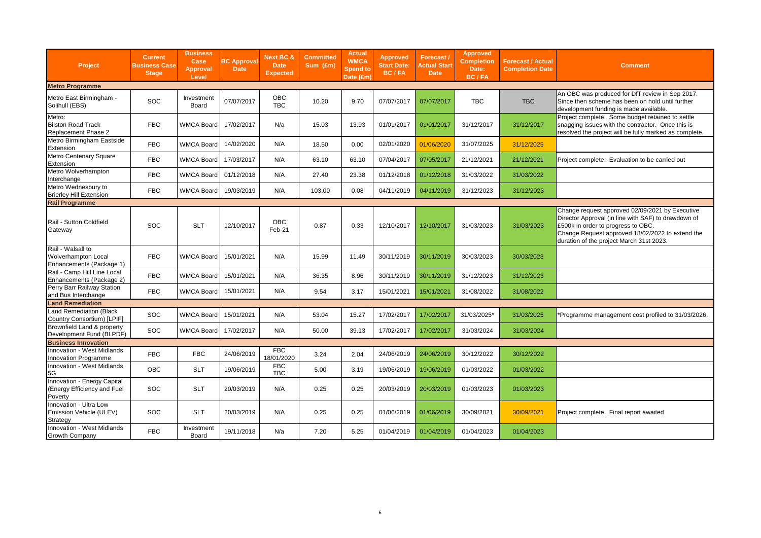| Project                                                                     | <b>Current</b><br><b>Business Case</b><br><b>Stage</b> | <b>Business</b><br>Case<br><b>Approval</b><br>Level | <b>BC Approval</b><br><b>Date</b> | Next BC &<br>Date<br><b>Expected</b> | <b>Committed</b><br>Sum (£m) | <b>Actual</b><br><b>WMCA</b><br><b>Spend to</b><br>Date (£m) | <b>Approved</b><br><b>Start Date:</b><br>BC/FA | Forecast /<br><b>Actual Start</b><br>Date | Approved<br><b>Completion</b><br>Date:<br><b>BC/FA</b> | <b>Forecast / Actual</b><br><b>Completion Date</b> | <b>Comment</b>                                                                                                                                                                                                                               |
|-----------------------------------------------------------------------------|--------------------------------------------------------|-----------------------------------------------------|-----------------------------------|--------------------------------------|------------------------------|--------------------------------------------------------------|------------------------------------------------|-------------------------------------------|--------------------------------------------------------|----------------------------------------------------|----------------------------------------------------------------------------------------------------------------------------------------------------------------------------------------------------------------------------------------------|
| <b>Metro Programme</b>                                                      |                                                        |                                                     |                                   |                                      |                              |                                                              |                                                |                                           |                                                        |                                                    |                                                                                                                                                                                                                                              |
| Metro East Birmingham -<br>Solihull (EBS)                                   | <b>SOC</b>                                             | Investment<br>Board                                 | 07/07/2017                        | OBC<br><b>TBC</b>                    | 10.20                        | 9.70                                                         | 07/07/2017                                     | 07/07/2017                                | TBC                                                    | <b>TBC</b>                                         | An OBC was produced for DfT review in Sep 2017.<br>Since then scheme has been on hold until further<br>development funding is made available.                                                                                                |
| Metro:<br><b>Bilston Road Track</b><br>Replacement Phase 2                  | <b>FBC</b>                                             | <b>WMCA Board</b>                                   | 17/02/2017                        | N/a                                  | 15.03                        | 13.93                                                        | 01/01/2017                                     | 01/01/2017                                | 31/12/2017                                             | 31/12/2017                                         | Project complete. Some budget retained to settle<br>snagging issues with the contractor. Once this is<br>resolved the project will be fully marked as complete.                                                                              |
| Metro Birmingham Eastside<br>Extension                                      | <b>FBC</b>                                             | <b>WMCA Board</b>                                   | 14/02/2020                        | N/A                                  | 18.50                        | 0.00                                                         | 02/01/2020                                     | 01/06/2020                                | 31/07/2025                                             | 31/12/2025                                         |                                                                                                                                                                                                                                              |
| Metro Centenary Square<br>Extension                                         | <b>FBC</b>                                             | <b>WMCA Board</b>                                   | 17/03/2017                        | N/A                                  | 63.10                        | 63.10                                                        | 07/04/2017                                     | 07/05/2017                                | 21/12/2021                                             | 21/12/2021                                         | Project complete. Evaluation to be carried out                                                                                                                                                                                               |
| Metro Wolverhampton<br>Interchange                                          | <b>FBC</b>                                             | <b>WMCA Board</b>                                   | 01/12/2018                        | N/A                                  | 27.40                        | 23.38                                                        | 01/12/2018                                     | 01/12/2018                                | 31/03/2022                                             | 31/03/2022                                         |                                                                                                                                                                                                                                              |
| Metro Wednesbury to<br><b>Brierley Hill Extension</b>                       | <b>FBC</b>                                             | <b>WMCA Board</b>                                   | 19/03/2019                        | N/A                                  | 103.00                       | 0.08                                                         | 04/11/2019                                     | 04/11/2019                                | 31/12/2023                                             | 31/12/2023                                         |                                                                                                                                                                                                                                              |
| <b>Rail Programme</b>                                                       |                                                        |                                                     |                                   |                                      |                              |                                                              |                                                |                                           |                                                        |                                                    |                                                                                                                                                                                                                                              |
| Rail - Sutton Coldfield<br>Gateway                                          | <b>SOC</b>                                             | <b>SLT</b>                                          | 12/10/2017                        | OBC<br>Feb-21                        | 0.87                         | 0.33                                                         | 12/10/2017                                     | 12/10/2017                                | 31/03/2023                                             | 31/03/2023                                         | Change request approved 02/09/2021 by Executive<br>Director Approval (in line with SAF) to drawdown of<br>£500k in order to progress to OBC.<br>Change Request approved 18/02/2022 to extend the<br>duration of the project March 31st 2023. |
| Rail - Walsall to<br><b>Wolverhampton Local</b><br>Enhancements (Package 1) | <b>FBC</b>                                             | <b>WMCA Board</b>                                   | 15/01/2021                        | N/A                                  | 15.99                        | 11.49                                                        | 30/11/2019                                     | 30/11/2019                                | 30/03/2023                                             | 30/03/2023                                         |                                                                                                                                                                                                                                              |
| Rail - Camp Hill Line Local<br>Enhancements (Package 2)                     | <b>FBC</b>                                             | <b>WMCA Board</b>                                   | 15/01/2021                        | N/A                                  | 36.35                        | 8.96                                                         | 30/11/2019                                     | 30/11/2019                                | 31/12/2023                                             | 31/12/2023                                         |                                                                                                                                                                                                                                              |
| Perry Barr Railway Station<br>and Bus Interchange                           | <b>FBC</b>                                             | <b>WMCA Board</b>                                   | 15/01/2021                        | N/A                                  | 9.54                         | 3.17                                                         | 15/01/2021                                     | 15/01/2021                                | 31/08/2022                                             | 31/08/2022                                         |                                                                                                                                                                                                                                              |
| Land Remediation                                                            |                                                        |                                                     |                                   |                                      |                              |                                                              |                                                |                                           |                                                        |                                                    |                                                                                                                                                                                                                                              |
| Land Remediation (Black<br>Country Consortium) [LPIF]                       | <b>SOC</b>                                             | <b>WMCA Board</b>                                   | 15/01/2021                        | N/A                                  | 53.04                        | 15.27                                                        | 17/02/2017                                     | 17/02/2017                                | 31/03/2025*                                            | 31/03/2025                                         | *Programme management cost profiled to 31/03/2026.                                                                                                                                                                                           |
| Brownfield Land & property<br>Development Fund (BLPDF)                      | <b>SOC</b>                                             | <b>WMCA Board</b>                                   | 17/02/2017                        | N/A                                  | 50.00                        | 39.13                                                        | 17/02/2017                                     | 17/02/2017                                | 31/03/2024                                             | 31/03/2024                                         |                                                                                                                                                                                                                                              |
| <b>Business Innovation</b>                                                  |                                                        |                                                     |                                   |                                      |                              |                                                              |                                                |                                           |                                                        |                                                    |                                                                                                                                                                                                                                              |
| Innovation - West Midlands<br>Innovation Programme                          | <b>FBC</b>                                             | <b>FBC</b>                                          | 24/06/2019                        | <b>FBC</b><br>18/01/2020             | 3.24                         | 2.04                                                         | 24/06/2019                                     | 24/06/2019                                | 30/12/2022                                             | 30/12/2022                                         |                                                                                                                                                                                                                                              |
| Innovation - West Midlands<br>5G                                            | <b>OBC</b>                                             | <b>SLT</b>                                          | 19/06/2019                        | <b>FBC</b><br>TBC                    | 5.00                         | 3.19                                                         | 19/06/2019                                     | 19/06/2019                                | 01/03/2022                                             | 01/03/2022                                         |                                                                                                                                                                                                                                              |
| Innovation - Energy Capital<br>(Energy Efficiency and Fuel<br>Poverty       | SOC                                                    | <b>SLT</b>                                          | 20/03/2019                        | N/A                                  | 0.25                         | 0.25                                                         | 20/03/2019                                     | 20/03/2019                                | 01/03/2023                                             | 01/03/2023                                         |                                                                                                                                                                                                                                              |
| Innovation - Ultra Low<br>Emission Vehicle (ULEV)<br>Strategy               | <b>SOC</b>                                             | <b>SLT</b>                                          | 20/03/2019                        | N/A                                  | 0.25                         | 0.25                                                         | 01/06/2019                                     | 01/06/2019                                | 30/09/2021                                             | 30/09/2021                                         | Project complete. Final report awaited                                                                                                                                                                                                       |
| Innovation - West Midlands<br>Growth Company                                | <b>FBC</b>                                             | Investment<br>Board                                 | 19/11/2018                        | N/a                                  | 7.20                         | 5.25                                                         | 01/04/2019                                     | 01/04/2019                                | 01/04/2023                                             | 01/04/2023                                         |                                                                                                                                                                                                                                              |